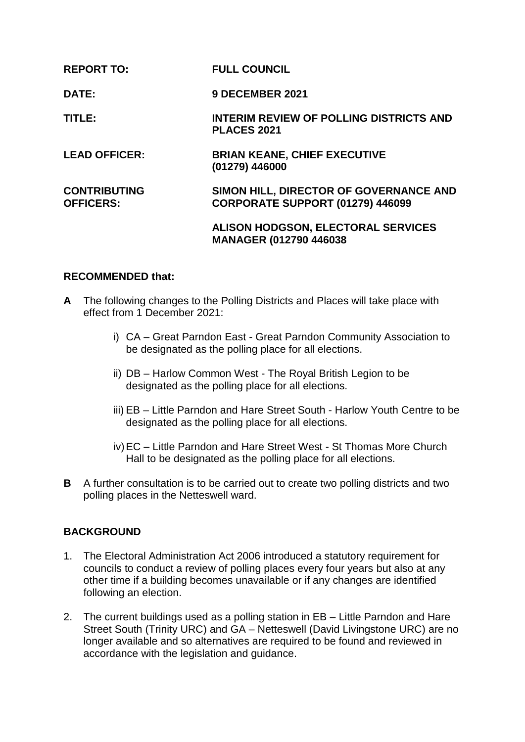| <b>REPORT TO:</b>                       | <b>FULL COUNCIL</b>                                                        |
|-----------------------------------------|----------------------------------------------------------------------------|
| DATE:                                   | <b>9 DECEMBER 2021</b>                                                     |
| TITLE:                                  | <b>INTERIM REVIEW OF POLLING DISTRICTS AND</b><br><b>PLACES 2021</b>       |
| <b>LEAD OFFICER:</b>                    | <b>BRIAN KEANE, CHIEF EXECUTIVE</b><br>(01279) 446000                      |
| <b>CONTRIBUTING</b><br><b>OFFICERS:</b> | SIMON HILL, DIRECTOR OF GOVERNANCE AND<br>CORPORATE SUPPORT (01279) 446099 |
|                                         | <b>ALISON HODGSON, ELECTORAL SERVICES</b><br><b>MANAGER (012790 446038</b> |

## **RECOMMENDED that:**

- **A** The following changes to the Polling Districts and Places will take place with effect from 1 December 2021:
	- i) CA Great Parndon East Great Parndon Community Association to be designated as the polling place for all elections.
	- ii) DB Harlow Common West The Royal British Legion to be designated as the polling place for all elections.
	- iii) EB Little Parndon and Hare Street South Harlow Youth Centre to be designated as the polling place for all elections.
	- iv)EC Little Parndon and Hare Street West St Thomas More Church Hall to be designated as the polling place for all elections.
- **B** A further consultation is to be carried out to create two polling districts and two polling places in the Netteswell ward.

## **BACKGROUND**

- 1. The Electoral Administration Act 2006 introduced a statutory requirement for councils to conduct a review of polling places every four years but also at any other time if a building becomes unavailable or if any changes are identified following an election.
- 2. The current buildings used as a polling station in EB Little Parndon and Hare Street South (Trinity URC) and GA – Netteswell (David Livingstone URC) are no longer available and so alternatives are required to be found and reviewed in accordance with the legislation and guidance.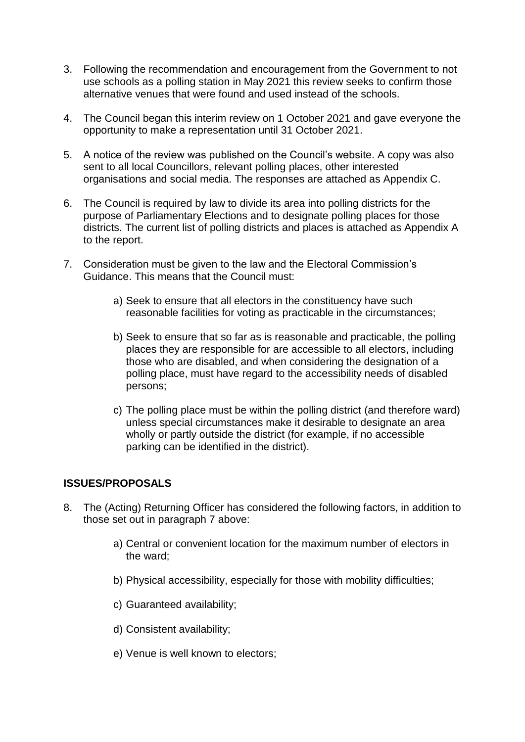- 3. Following the recommendation and encouragement from the Government to not use schools as a polling station in May 2021 this review seeks to confirm those alternative venues that were found and used instead of the schools.
- 4. The Council began this interim review on 1 October 2021 and gave everyone the opportunity to make a representation until 31 October 2021.
- 5. A notice of the review was published on the Council's website. A copy was also sent to all local Councillors, relevant polling places, other interested organisations and social media. The responses are attached as Appendix C.
- 6. The Council is required by law to divide its area into polling districts for the purpose of Parliamentary Elections and to designate polling places for those districts. The current list of polling districts and places is attached as Appendix A to the report.
- 7. Consideration must be given to the law and the Electoral Commission's Guidance. This means that the Council must:
	- a) Seek to ensure that all electors in the constituency have such reasonable facilities for voting as practicable in the circumstances;
	- b) Seek to ensure that so far as is reasonable and practicable, the polling places they are responsible for are accessible to all electors, including those who are disabled, and when considering the designation of a polling place, must have regard to the accessibility needs of disabled persons;
	- c) The polling place must be within the polling district (and therefore ward) unless special circumstances make it desirable to designate an area wholly or partly outside the district (for example, if no accessible parking can be identified in the district).

## **ISSUES/PROPOSALS**

- 8. The (Acting) Returning Officer has considered the following factors, in addition to those set out in paragraph 7 above:
	- a) Central or convenient location for the maximum number of electors in the ward;
	- b) Physical accessibility, especially for those with mobility difficulties;
	- c) Guaranteed availability;
	- d) Consistent availability;
	- e) Venue is well known to electors;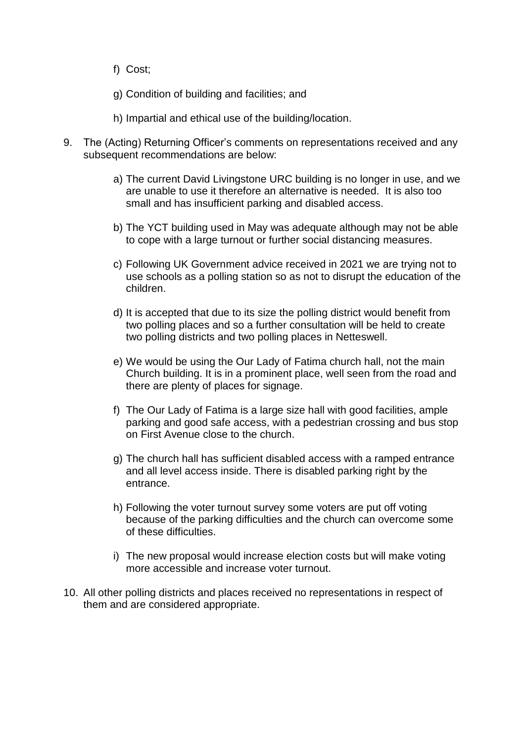- f) Cost;
- g) Condition of building and facilities; and
- h) Impartial and ethical use of the building/location.
- 9. The (Acting) Returning Officer's comments on representations received and any subsequent recommendations are below:
	- a) The current David Livingstone URC building is no longer in use, and we are unable to use it therefore an alternative is needed. It is also too small and has insufficient parking and disabled access.
	- b) The YCT building used in May was adequate although may not be able to cope with a large turnout or further social distancing measures.
	- c) Following UK Government advice received in 2021 we are trying not to use schools as a polling station so as not to disrupt the education of the children.
	- d) It is accepted that due to its size the polling district would benefit from two polling places and so a further consultation will be held to create two polling districts and two polling places in Netteswell.
	- e) We would be using the Our Lady of Fatima church hall, not the main Church building. It is in a prominent place, well seen from the road and there are plenty of places for signage.
	- f) The Our Lady of Fatima is a large size hall with good facilities, ample parking and good safe access, with a pedestrian crossing and bus stop on First Avenue close to the church.
	- g) The church hall has sufficient disabled access with a ramped entrance and all level access inside. There is disabled parking right by the entrance.
	- h) Following the voter turnout survey some voters are put off voting because of the parking difficulties and the church can overcome some of these difficulties.
	- i) The new proposal would increase election costs but will make voting more accessible and increase voter turnout.
- 10. All other polling districts and places received no representations in respect of them and are considered appropriate.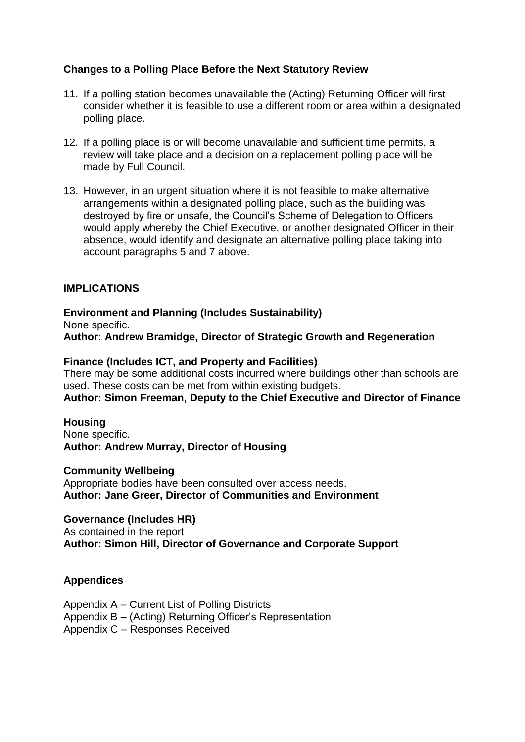## **Changes to a Polling Place Before the Next Statutory Review**

- 11. If a polling station becomes unavailable the (Acting) Returning Officer will first consider whether it is feasible to use a different room or area within a designated polling place.
- 12. If a polling place is or will become unavailable and sufficient time permits, a review will take place and a decision on a replacement polling place will be made by Full Council.
- 13. However, in an urgent situation where it is not feasible to make alternative arrangements within a designated polling place, such as the building was destroyed by fire or unsafe, the Council's Scheme of Delegation to Officers would apply whereby the Chief Executive, or another designated Officer in their absence, would identify and designate an alternative polling place taking into account paragraphs 5 and 7 above.

## **IMPLICATIONS**

**Environment and Planning (Includes Sustainability)** None specific. **Author: Andrew Bramidge, Director of Strategic Growth and Regeneration** 

#### **Finance (Includes ICT, and Property and Facilities)**

There may be some additional costs incurred where buildings other than schools are used. These costs can be met from within existing budgets.

**Author: Simon Freeman, Deputy to the Chief Executive and Director of Finance**

#### **Housing**

None specific. **Author: Andrew Murray, Director of Housing** 

#### **Community Wellbeing**

Appropriate bodies have been consulted over access needs. **Author: Jane Greer, Director of Communities and Environment**

#### **Governance (Includes HR)**

As contained in the report **Author: Simon Hill, Director of Governance and Corporate Support** 

#### **Appendices**

Appendix A – Current List of Polling Districts Appendix B – (Acting) Returning Officer's Representation Appendix C – Responses Received